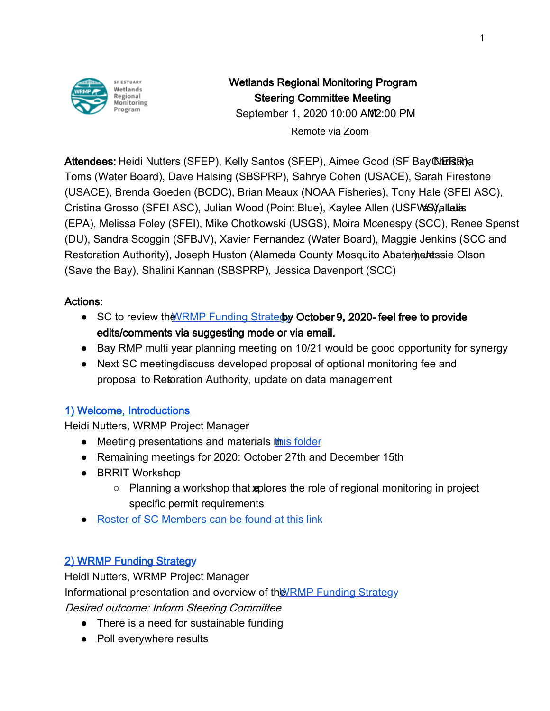

# Wetlands Regional Monitoring Program Steering Committee Meeting

September 1, 2020 10:00 AM 2:00 PM

Remote via Zoom

Attendees: Heidi Nutters (SFEP), Kelly Santos (SFEP), Aimee Good (SF Bay COHERTR)a Toms (Water Board), Dave Halsing (SBSPRP), Sahrye Cohen (USACE), Sarah Firestone (USACE), Brenda Goeden (BCDC), Brian Meaux (NOAA Fisheries), Tony Hale (SFEI ASC), Cristina Grosso (SFEI ASC), Julian Wood (Point Blue), Kaylee Allen (USFWS) allalas (EPA), Melissa Foley (SFEI), Mike Chotkowski (USGS), Moira Mcenespy (SCC), Renee Spenst (DU), Sandra Scoggin (SFBJV), Xavier Fernandez (Water Board), Maggie Jenkins (SCC and Restoration Authority), Joseph Huston (Alameda County Mosquito Abatementsie Olson (Save the Bay), Shalini Kannan (SBSPRP), Jessica Davenport (SCC)

#### Actions:

- SC to review the WRMP Funding Stratedy Octo[b](https://docs.google.com/document/d/1EDSRHq_OvEQw3-9BMTQR1PIt4icwCARTEuuXc4FxieY/edit?usp=sharing)er 9, 2020-feel free to provide edits/comments via suggesting mode or via email.
- Bay RMP multi year planning meeting on 10/21 would be good opportunity for synergy
- $\bullet$  Next SC meeting discuss developed proposal of optional monitoring fee and proposal to Retoration Authority, update on data management

# [1\) Welcome, Introductions](https://drive.google.com/file/d/1-DoKWfQ3gFshmqN8aTinGhNQzMJldjJF/view?usp=sharing)

Heidi Nutters, WRMP Project Manager

- Meeting presentations and materials [in this folder](https://drive.google.com/drive/folders/13Sk_OXyTPq1Sb58WsRorotkYplUbLUqA?usp=sharing)
- Remaining meetings for 2020: October 27th and December 15th
- BRRIT Workshop
	- $\circ$  Planning a workshop that suplores the role of regional monitoring in project specific permit requirements
- [Roster of SC Members can be found at this l](https://docs.google.com/spreadsheets/d/1irwBf2FqK7Nqeww960DWi42-1E-OG4_bv6QH0k0WIGQ/edit?usp=sharing)ink

# [2\) WRMP Funding Strategy](https://drive.google.com/file/d/1UczxbAG6RCQWrJCXz6jXjWadOKiets2l/view?usp=sharing)

Heidi Nutters, WRMP Project Manager Informational presentation and overview of t[he WRMP Funding Strateg](https://docs.google.com/document/d/1EDSRHq_OvEQw3-9BMTQR1PIt4icwCARTEuuXc4FxieY/edit?usp=sharing)y Desired outcome: Inform Steering Committee

- There is a need for sustainable funding
- Poll everywhere results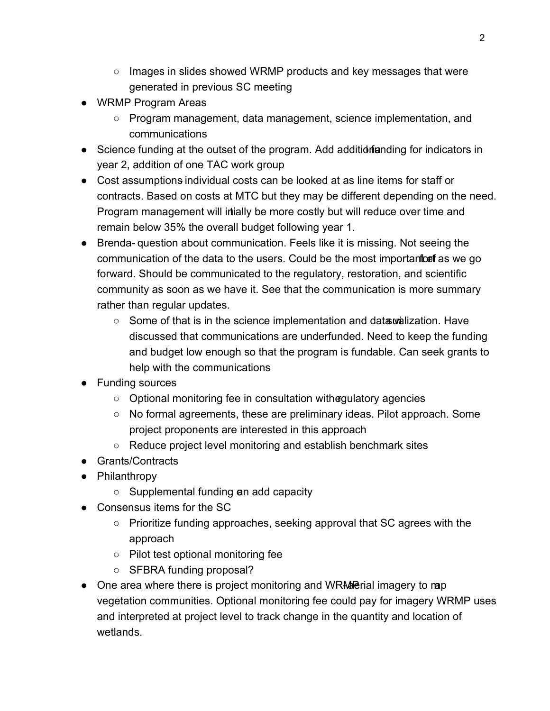- Images in slides showed WRMP products and key messages that were generated in previous SC meeting
- WRMP Program Areas
	- Program management, data management, science implementation, and communications
- Science funding at the outset of the program. Add addition funding for indicators in year 2, addition of one TAC work group
- Cost assumptions individual costs can be looked at as line items for staff or contracts. Based on costs at MTC but they may be different depending on the need. Program management will intially be more costly but will reduce over time and remain below 35% the overall budget following year 1.
- Brenda- question about communication. Feels like it is missing. Not seeing the communication of the data to the users. Could be the most importantice fas we go forward. Should be communicated to the regulatory, restoration, and scientific community as soon as we have it. See that the communication is more summary rather than regular updates.
	- $\circ$  Some of that is in the science implementation and data wialization. Have discussed that communications are underfunded. Need to keep the funding and budget low enough so that the program is fundable. Can seek grants to help with the communications
- Funding sources
	- Optional monitoring fee in consultation with **e**gulatory agencies
	- No formal agreements, these are preliminary ideas. Pilot approach. Some project proponents are interested in this approach
	- Reduce project level monitoring and establish benchmark sites
- Grants/Contracts
- Philanthropy
	- $\circ$  Supplemental funding an add capacity
- Consensus items for the SC
	- Prioritize funding approaches, seeking approval that SC agrees with the approach
	- Pilot test optional monitoring fee
	- SFBRA funding proposal?
- One area where there is project monitoring and WRMP rial imagery to map vegetation communities. Optional monitoring fee could pay for imagery WRMP uses and interpreted at project level to track change in the quantity and location of wetlands.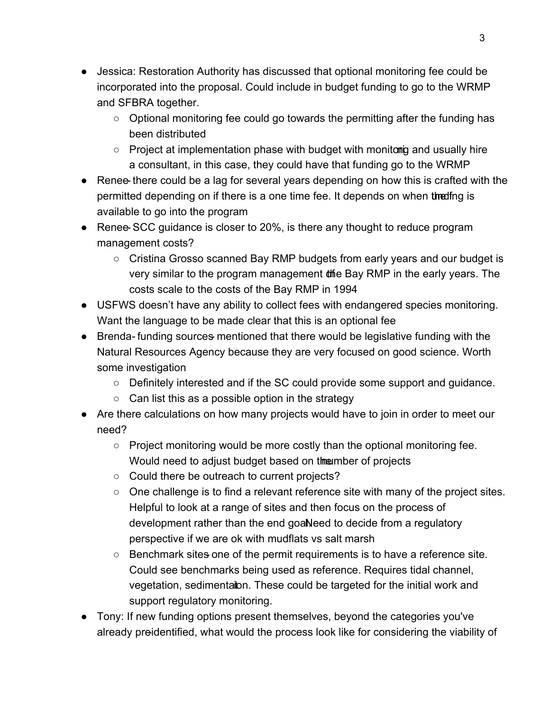- Jessica: Restoration Authority has discussed that optional monitoring fee could be incorporated into the proposal. Could include in budget funding to go to the WRMP and SFBRA together.
	- Optional monitoring fee could go towards the permitting after the funding has been distributed
	- $\circ$  Project at implementation phase with budget with monitoring and usually hire a consultant, in this case, they could have that funding go to the WRMP
- Renee there could be a lag for several years depending on how this is crafted with the permitted depending on if there is a one time fee. It depends on when the fing is available to go into the program
- Renee SCC quidance is closer to 20%, is there any thought to reduce program management costs?
	- Cristina Grosso scanned Bay RMP budgets from early years and our budget is very similar to the program management of the Bay RMP in the early years. The costs scale to the costs of the Bay RMP in 1994
- USFWS doesn't have any ability to collect fees with endangered species monitoring. Want the language to be made clear that this is an optional fee
- Brenda- funding sources- mentioned that there would be legislative funding with the Natural Resources Agency because they are very focused on good science. Worth some investigation
	- Definitely interested and if the SC could provide some support and guidance.
	- $\circ$  Can list this as a possible option in the strategy
- Are there calculations on how many projects would have to join in order to meet our need?
	- $\circ$  Project monitoring would be more costly than the optional monitoring fee. Would need to adjust budget based on the unit of projects
	- Could there be outreach to current projects?
	- One challenge is to find a relevant reference site with many of the project sites. Helpful to look at a range of sites and then focus on the process of development rather than the end goaNeed to decide from a regulatory perspective if we are ok with mudflats vs salt marsh
	- $\circ$  Benchmark sites one of the permit requirements is to have a reference site. Could see benchmarks being used as reference. Requires tidal channel, vegetation, sedimentation. These could be targeted for the initial work and support regulatory monitoring.
- Tony: If new funding options present themselves, beyond the categories you've already preidentified, what would the process look like for considering the viability of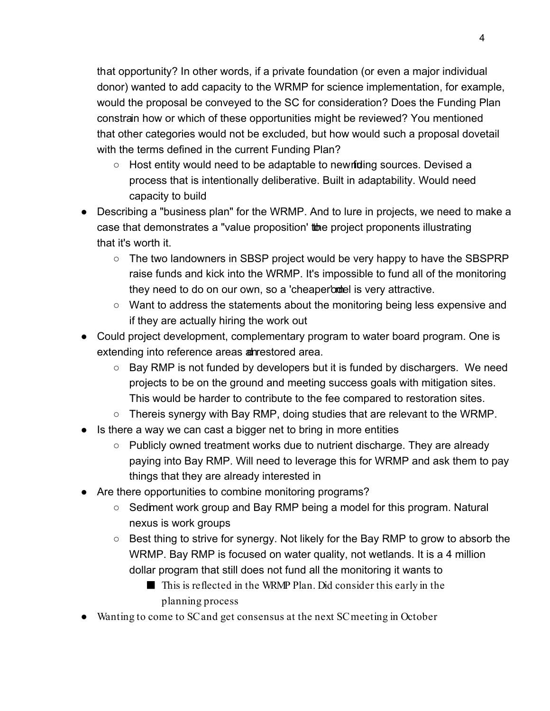that opportunity? In other words, if a private foundation (or even a major individual donor) wanted to add capacity to the WRMP for science implementation, for example, would the proposal be conveyed to the SC for consideration? Does the Funding Plan constrain how or which of these opportunities might be reviewed? You mentioned that other categories would not be excluded, but how would such a proposal dovetail with the terms defined in the current Funding Plan?

- $\circ$  Host entity would need to be adaptable to new riding sources. Devised a process that is intentionally deliberative. Built in adaptability. Would need capacity to build
- Describing a "business plan" for the WRMP. And to lure in projects, we need to make a case that demonstrates a "value proposition' to project proponents illustrating that it's worth it.
	- The two landowners in SBSP project would be very happy to have the SBSPRP raise funds and kick into the WRMP. It's impossible to fund all of the monitoring they need to do on our own, so a 'cheaperbodel is very attractive.
	- Want to address the statements about the monitoring being less expensive and if they are actually hiring the work out
- Could project development, complementary program to water board program. One is extending into reference areas and restored area.
	- Bay RMP is not funded by developers but it is funded by dischargers. We need projects to be on the ground and meeting success goals with mitigation sites. This would be harder to contribute to the fee compared to restoration sites.
	- Thereis synergy with Bay RMP, doing studies that are relevant to the WRMP.
- Is there a way we can cast a bigger net to bring in more entities
	- $\circ$  Publicly owned treatment works due to nutrient discharge. They are already paying into Bay RMP. Will need to leverage this for WRMP and ask them to pay things that they are already interested in
- Are there opportunities to combine monitoring programs?
	- Sedment work group and Bay RMP being a model for this program. Natural nexus is work groups
	- Best thing to strive for synergy. Not likely for the Bay RMP to grow to absorb the WRMP. Bay RMP is focused on water quality, not wetlands. It is a 4 million dollar program that still does not fund all the monitoring it wants to
		- This is reflected in the WRMP Plan. Did consider this early in the planning process
- Wanting to come to SC and get consensus at the next SC meeting in October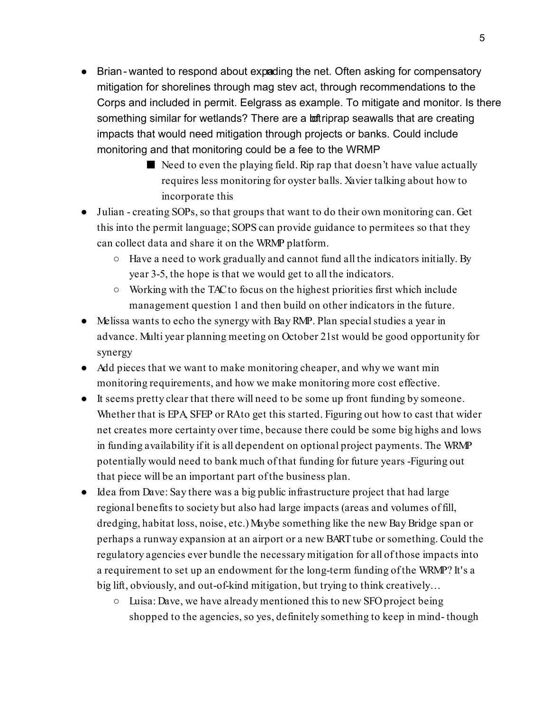- Brian-wanted to respond about expading the net. Often asking for compensatory mitigation for shorelines through mag stev act, through recommendations to the Corps and included in permit. Eelgrass as example. To mitigate and monitor. Is there something similar for wetlands? There are a **lot** riprap seawalls that are creating impacts that would need mitigation through projects or banks. Could include monitoring and that monitoring could be a fee to the WRMP
	- $\blacksquare$  Need to even the playing field. Rip rap that doesn't have value actually requires less monitoring for oyster balls. Xavier talking about how to incorporate this
- Julian creating SOPs, so that groups that want to do their own monitoring can. Get this into the permit language; SOPS can provide guidance to permitees so that they can collect data and share it on the WRMP platform.
	- Have a need to work gradually and cannot fund all the indicators initially. By year 3-5, the hope is that we would get to all the indicators.
	- Working with the TAC to focus on the highest priorities first which include management question 1 and then build on other indicators in the future.
- Melissa wants to echo the synergy with Bay RMP. Plan special studies a year in advance. Multi year planning meeting on October 21st would be good opportunity for synergy
- Add pieces that we want to make monitoring cheaper, and why we want min monitoring requirements, and how we make monitoring more cost effective.
- It seems pretty clear that there will need to be some up front funding by someone. Whether that is EPA, SFEP or RA to get this started. Figuring out how to cast that wider net creates more certainty over time, because there could be some big highs and lows in funding availability if it is all dependent on optional project payments. The WRMP potentially would need to bank much of that funding for future years -Figuring out that piece will be an important part of the business plan.
- Idea from Dave: Say there was a big public infrastructure project that had large regional benefits to society but also had large impacts (areas and volumes of fill, dredging, habitat loss, noise, etc.) Maybe something like the new Bay Bridge span or perhaps a runway expansion at an airport or a new BART tube or something. Could the regulatory agencies ever bundle the necessary mitigation for all of those impacts into a requirement to set up an endowment for the long-term funding of the WRMP? It's a big lift, obviously, and out-of-kind mitigation, but trying to think creatively…
	- $\circ$  Luisa: Dave, we have already mentioned this to new SFO project being shopped to the agencies, so yes, definitely something to keep in mind- though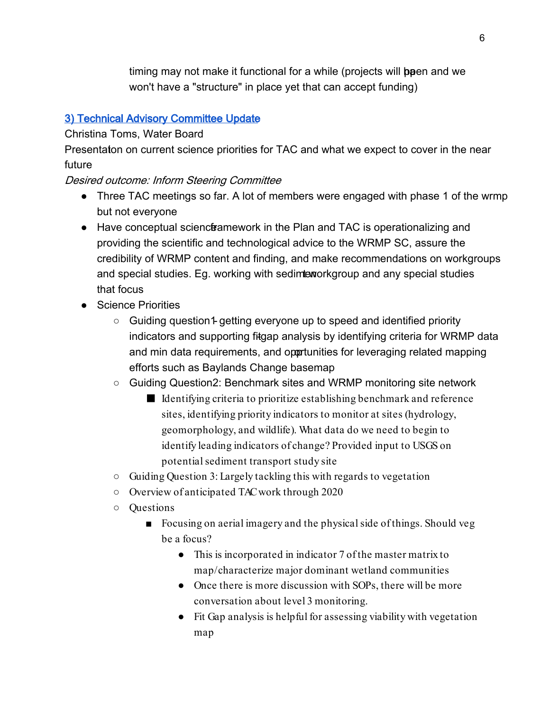timing may not make it functional for a while (projects will **be**en and we won't have a "structure" in place yet that can accept funding)

### [3\) Technical Advisory Committee Update](https://drive.google.com/file/d/1thFvxjnSj3oEZgwD54sYGHKq3VMyiqav/view?usp=sharing)

#### Christina Toms, Water Board

Presentaton on current science priorities for TAC and what we expect to cover in the near future

#### Desired outcome: Inform Steering Committee

- Three TAC meetings so far. A lot of members were engaged with phase 1 of the wrmp but not everyone
- Have conceptual science framework in the Plan and TAC is operationalizing and providing the scientific and technological advice to the WRMP SC, assure the credibility of WRMP content and finding, and make recommendations on workgroups and special studies. Eg. working with sedimteworkgroup and any special studies that focus
- Science Priorities
	- Guiding question1 getting everyone up to speed and identified priority indicators and supporting fitgap analysis by identifying criteria for WRMP data and min data requirements, and oportunities for leveraging related mapping efforts such as Baylands Change basemap
	- Guiding Question2: Benchmark sites and WRMP monitoring site network
		- Identifying criteria to prioritize establishing benchmark and reference sites, identifying priority indicators to monitor at sites (hydrology, geomorphology, and wildlife). What data do we need to begin to identify leading indicators of change? Provided input to USGS on potential sediment transport study site
	- Guiding Question 3: Largely tackling this with regards to vegetation
	- Overview of anticipated TAC work through 2020
	- Questions
		- Focusing on aerial imagery and the physical side of things. Should veg be a focus?
			- This is incorporated in indicator 7 of the master matrix to map/characterize major dominant wetland communities
			- Once there is more discussion with SOPs, there will be more conversation about level 3 monitoring.
			- Fit Gap analysis is helpful for assessing viability with vegetation map